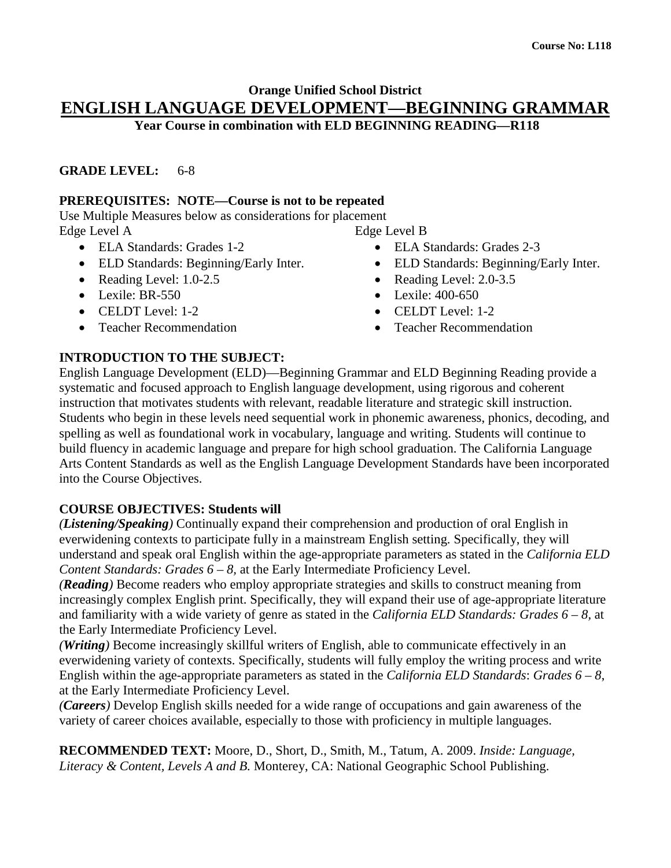# **Orange Unified School District ENGLISH LANGUAGE DEVELOPMENT—BEGINNING GRAMMAR**

**Year Course in combination with ELD BEGINNING READING—R118**

## **GRADE LEVEL:** 6-8

## **PREREQUISITES: NOTE—Course is not to be repeated**

Use Multiple Measures below as considerations for placement Edge Level A

- ELA Standards: Grades 1-2
- ELD Standards: Beginning/Early Inter.
- Reading Level: 1.0-2.5
- Lexile: BR-550
- CELDT Level: 1-2
- Teacher Recommendation

Edge Level B

- ELA Standards: Grades 2-3
- ELD Standards: Beginning/Early Inter.
- Reading Level: 2.0-3.5
- Lexile: 400-650
- CELDT Level: 1-2
- Teacher Recommendation

# **INTRODUCTION TO THE SUBJECT:**

English Language Development (ELD)—Beginning Grammar and ELD Beginning Reading provide a systematic and focused approach to English language development, using rigorous and coherent instruction that motivates students with relevant, readable literature and strategic skill instruction. Students who begin in these levels need sequential work in phonemic awareness, phonics, decoding, and spelling as well as foundational work in vocabulary, language and writing. Students will continue to build fluency in academic language and prepare for high school graduation. The California Language Arts Content Standards as well as the English Language Development Standards have been incorporated into the Course Objectives.

# **COURSE OBJECTIVES: Students will**

*(Listening/Speaking)* Continually expand their comprehension and production of oral English in everwidening contexts to participate fully in a mainstream English setting. Specifically, they will understand and speak oral English within the age-appropriate parameters as stated in the *California ELD Content Standards: Grades 6 – 8, at the Early Intermediate Proficiency Level.* 

*(Reading)* Become readers who employ appropriate strategies and skills to construct meaning from increasingly complex English print. Specifically, they will expand their use of age-appropriate literature and familiarity with a wide variety of genre as stated in the *California ELD Standards: Grades 6 – 8,* at the Early Intermediate Proficiency Level.

*(Writing)* Become increasingly skillful writers of English, able to communicate effectively in an everwidening variety of contexts. Specifically, students will fully employ the writing process and write English within the age-appropriate parameters as stated in the *California ELD Standards*: *Grades 6 – 8*, at the Early Intermediate Proficiency Level.

*(Careers)* Develop English skills needed for a wide range of occupations and gain awareness of the variety of career choices available, especially to those with proficiency in multiple languages.

**RECOMMENDED TEXT:** Moore, D., Short, D., Smith, M., Tatum, A. 2009. *Inside: Language, Literacy & Content, Levels A and B.* Monterey, CA: National Geographic School Publishing.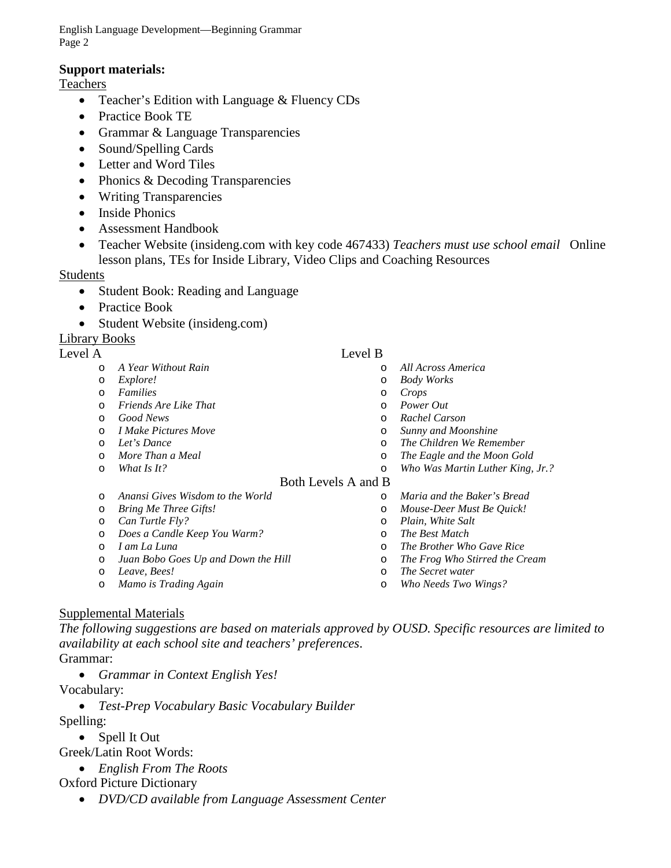English Language Development—Beginning Grammar Page 2

#### **Support materials:**

**Teachers** 

- Teacher's Edition with Language & Fluency CDs
- Practice Book TE
- Grammar & Language Transparencies
- Sound/Spelling Cards
- Letter and Word Tiles
- Phonics & Decoding Transparencies
- Writing Transparencies
- Inside Phonics
- Assessment Handbook
- Teacher Website (insideng.com with key code 467433) *Teachers must use school email* Online lesson plans, TEs for Inside Library, Video Clips and Coaching Resources

#### Students

- Student Book: Reading and Language
- Practice Book
- Student Website (insideng.com)

## Library Books

#### Level A Level B

- o *A Year Without Rain*
- o *Explore!*
- o *Families*
- o *Friends Are Like That*
- o *Good News*
- o *I Make Pictures Move*
- o *Let's Dance*
- o *More Than a Meal*

o *Bring Me Three Gifts!* o *Can Turtle Fly?*

o *Mamo is Trading Again*

o *What Is It?*

o *I am La Luna*

o *Leave, Bees!*

# o *Body Works*

- o *Crops* o *Power Out*
- o *Rachel Carson*
- o *Sunny and Moonshine*

o *All Across America*

- o *The Children We Remember*
- 
- o *The Eagle and the Moon Gold* o *Who Was Martin Luther King, Jr.?*

#### Both Levels A and B

- o *Maria and the Baker's Bread*
	- o *Mouse-Deer Must Be Quick!*
	- o *Plain, White Salt*
	- o *The Best Match*
	- o *The Brother Who Gave Rice*
	- o *The Frog Who Stirred the Cream*
	- o *The Secret water*
	- o *Who Needs Two Wings?*

# Supplemental Materials

*The following suggestions are based on materials approved by OUSD. Specific resources are limited to availability at each school site and teachers' preferences*. Grammar:

• *Grammar in Context English Yes!*

o *Anansi Gives Wisdom to the World*

o *Does a Candle Keep You Warm?*

o *Juan Bobo Goes Up and Down the Hill*

- Vocabulary:
	- *Test-Prep Vocabulary Basic Vocabulary Builder*
- Spelling:
	- Spell It Out

Greek/Latin Root Words:

• *English From The Roots* 

#### Oxford Picture Dictionary

• *DVD/CD available from Language Assessment Center*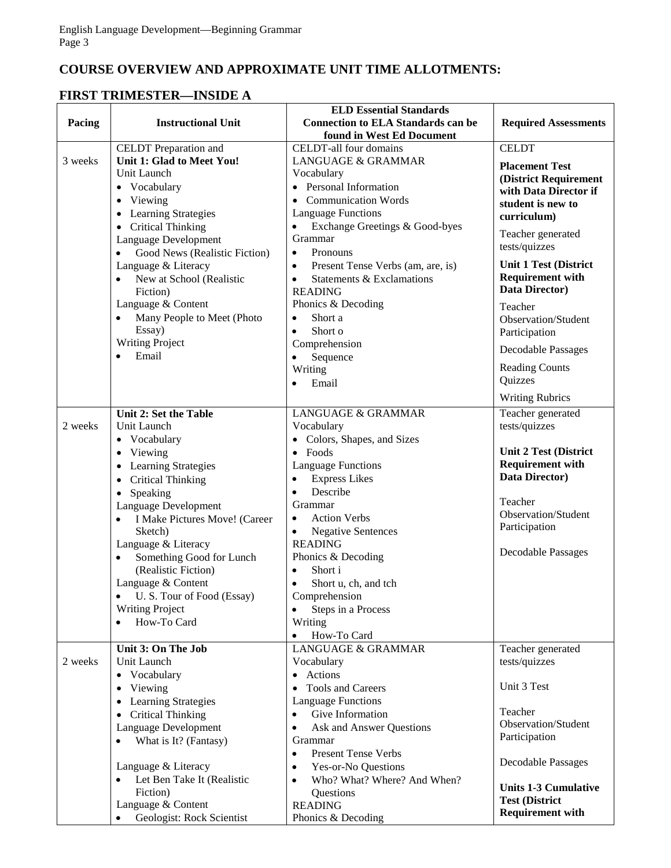# **COURSE OVERVIEW AND APPROXIMATE UNIT TIME ALLOTMENTS:**

# **FIRST TRIMESTER—INSIDE A**

|         |                                            | <b>ELD Essential Standards</b>                 |                              |
|---------|--------------------------------------------|------------------------------------------------|------------------------------|
| Pacing  | <b>Instructional Unit</b>                  | <b>Connection to ELA Standards can be</b>      | <b>Required Assessments</b>  |
|         |                                            | found in West Ed Document                      |                              |
|         | <b>CELDT</b> Preparation and               | CELDT-all four domains                         | <b>CELDT</b>                 |
| 3 weeks | Unit 1: Glad to Meet You!                  | LANGUAGE & GRAMMAR                             | <b>Placement Test</b>        |
|         | Unit Launch                                | Vocabulary                                     | (District Requirement        |
|         | • Vocabulary                               | • Personal Information                         | with Data Director if        |
|         | Viewing<br>$\bullet$                       | • Communication Words                          | student is new to            |
|         | <b>Learning Strategies</b>                 | <b>Language Functions</b>                      | curriculum)                  |
|         | <b>Critical Thinking</b><br>$\bullet$      | Exchange Greetings & Good-byes<br>$\bullet$    |                              |
|         | Language Development                       | Grammar                                        | Teacher generated            |
|         | Good News (Realistic Fiction)              | Pronouns<br>$\bullet$                          | tests/quizzes                |
|         | Language & Literacy                        | Present Tense Verbs (am, are, is)<br>$\bullet$ | <b>Unit 1 Test (District</b> |
|         | New at School (Realistic                   | Statements & Exclamations<br>$\bullet$         | <b>Requirement with</b>      |
|         | Fiction)                                   | <b>READING</b>                                 | Data Director)               |
|         | Language & Content                         | Phonics & Decoding                             | Teacher                      |
|         | Many People to Meet (Photo                 | Short a<br>$\bullet$                           | Observation/Student          |
|         | Essay)                                     | Short o<br>$\bullet$                           |                              |
|         | <b>Writing Project</b>                     | Comprehension                                  | Participation                |
|         | Email<br>$\bullet$                         | $\bullet$                                      | <b>Decodable Passages</b>    |
|         |                                            | Sequence<br>Writing                            | <b>Reading Counts</b>        |
|         |                                            |                                                | Quizzes                      |
|         |                                            | Email<br>$\bullet$                             |                              |
|         |                                            |                                                | <b>Writing Rubrics</b>       |
|         | Unit 2: Set the Table                      | <b>LANGUAGE &amp; GRAMMAR</b>                  | Teacher generated            |
| 2 weeks | Unit Launch                                | Vocabulary                                     | tests/quizzes                |
|         | • Vocabulary                               | • Colors, Shapes, and Sizes                    |                              |
|         | Viewing<br>$\bullet$                       | $\bullet$ Foods                                | <b>Unit 2 Test (District</b> |
|         | <b>Learning Strategies</b><br>$\bullet$    | <b>Language Functions</b>                      | <b>Requirement with</b>      |
|         | <b>Critical Thinking</b><br>$\bullet$      | <b>Express Likes</b>                           | Data Director)               |
|         | Speaking<br>$\bullet$                      | Describe<br>$\bullet$                          |                              |
|         | Language Development                       | Grammar                                        | Teacher                      |
|         | I Make Pictures Move! (Career<br>$\bullet$ | <b>Action Verbs</b><br>$\bullet$               | Observation/Student          |
|         | Sketch)                                    | <b>Negative Sentences</b><br>$\bullet$         | Participation                |
|         | Language & Literacy                        | <b>READING</b>                                 |                              |
|         | Something Good for Lunch                   | Phonics & Decoding                             | <b>Decodable Passages</b>    |
|         | (Realistic Fiction)                        | Short i<br>$\bullet$                           |                              |
|         | Language & Content                         | Short u, ch, and tch                           |                              |
|         | U.S. Tour of Food (Essay)                  | Comprehension                                  |                              |
|         | <b>Writing Project</b>                     | Steps in a Process                             |                              |
|         | How-To Card                                | Writing                                        |                              |
|         |                                            | How-To Card<br>$\bullet$                       |                              |
|         | Unit 3: On The Job                         | <b>LANGUAGE &amp; GRAMMAR</b>                  | Teacher generated            |
| 2 weeks | Unit Launch                                | Vocabulary                                     | tests/quizzes                |
|         | • Vocabulary                               | • Actions                                      |                              |
|         | Viewing<br>$\bullet$                       | Tools and Careers<br>$\bullet$                 | Unit 3 Test                  |
|         | <b>Learning Strategies</b>                 | <b>Language Functions</b>                      |                              |
|         | <b>Critical Thinking</b>                   | Give Information<br>$\bullet$                  | Teacher                      |
|         | Language Development                       | Ask and Answer Questions<br>$\bullet$          | Observation/Student          |
|         |                                            |                                                | Participation                |
|         | What is It? (Fantasy)                      | Grammar<br><b>Present Tense Verbs</b>          |                              |
|         |                                            | $\bullet$                                      | Decodable Passages           |
|         | Language & Literacy                        | Yes-or-No Questions<br>$\bullet$               |                              |
|         | Let Ben Take It (Realistic                 | Who? What? Where? And When?<br>$\bullet$       | <b>Units 1-3 Cumulative</b>  |
|         | Fiction)                                   | Questions                                      | <b>Test (District</b>        |
|         | Language & Content                         | <b>READING</b>                                 | <b>Requirement with</b>      |
|         | Geologist: Rock Scientist<br>$\bullet$     | Phonics & Decoding                             |                              |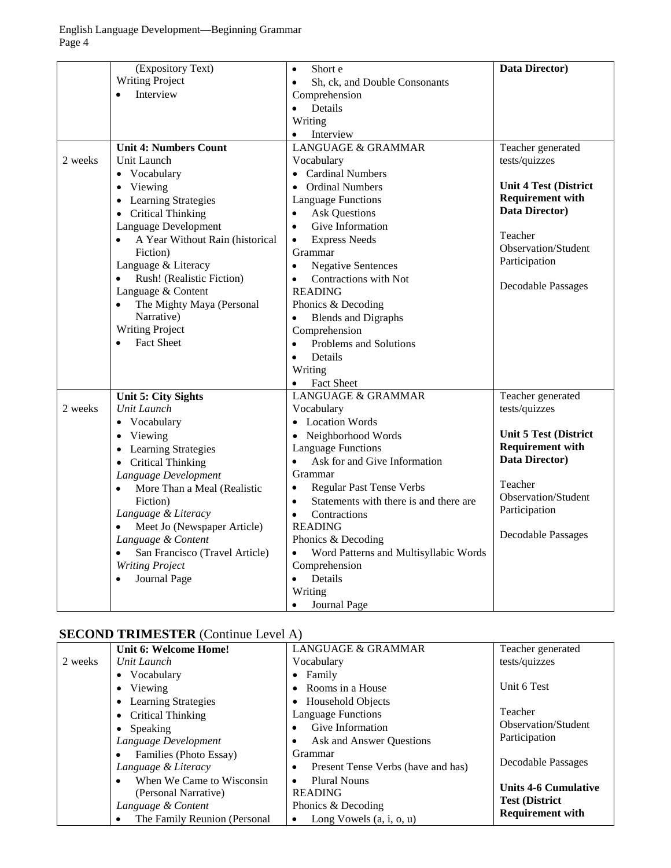|         | (Expository Text)                            | Short e<br>$\bullet$                                | Data Director)               |
|---------|----------------------------------------------|-----------------------------------------------------|------------------------------|
|         | <b>Writing Project</b>                       | Sh, ck, and Double Consonants<br>$\bullet$          |                              |
|         | Interview<br>$\bullet$                       | Comprehension                                       |                              |
|         |                                              | Details<br>$\bullet$                                |                              |
|         |                                              | Writing                                             |                              |
|         |                                              | Interview<br>$\bullet$                              |                              |
|         | <b>Unit 4: Numbers Count</b>                 | <b>LANGUAGE &amp; GRAMMAR</b>                       | Teacher generated            |
| 2 weeks | Unit Launch                                  | Vocabulary                                          | tests/quizzes                |
|         | • Vocabulary                                 | • Cardinal Numbers                                  |                              |
|         | Viewing<br>$\bullet$                         | • Ordinal Numbers                                   | <b>Unit 4 Test (District</b> |
|         | <b>Learning Strategies</b><br>$\bullet$      | <b>Language Functions</b>                           | <b>Requirement with</b>      |
|         | <b>Critical Thinking</b>                     | <b>Ask Questions</b><br>$\bullet$                   | Data Director)               |
|         | $\bullet$<br>Language Development            | Give Information<br>$\bullet$                       |                              |
|         | A Year Without Rain (historical<br>$\bullet$ | <b>Express Needs</b><br>$\bullet$                   | Teacher                      |
|         | Fiction)                                     | Grammar                                             | Observation/Student          |
|         | Language & Literacy                          | <b>Negative Sentences</b><br>$\bullet$              | Participation                |
|         | Rush! (Realistic Fiction)<br>$\bullet$       | Contractions with Not<br>$\bullet$                  |                              |
|         | Language & Content                           | <b>READING</b>                                      | <b>Decodable Passages</b>    |
|         | The Mighty Maya (Personal<br>$\bullet$       | Phonics & Decoding                                  |                              |
|         | Narrative)                                   |                                                     |                              |
|         | <b>Writing Project</b>                       | <b>Blends and Digraphs</b><br>Comprehension         |                              |
|         | <b>Fact Sheet</b><br>$\bullet$               | Problems and Solutions<br>$\bullet$                 |                              |
|         |                                              |                                                     |                              |
|         |                                              | Details<br>$\bullet$                                |                              |
|         |                                              | Writing                                             |                              |
|         |                                              | <b>Fact Sheet</b><br><b>LANGUAGE &amp; GRAMMAR</b>  |                              |
| 2 weeks | <b>Unit 5: City Sights</b><br>Unit Launch    |                                                     | Teacher generated            |
|         |                                              | Vocabulary<br>• Location Words                      | tests/quizzes                |
|         | Vocabulary<br>$\bullet$                      |                                                     | <b>Unit 5 Test (District</b> |
|         | Viewing<br>$\bullet$                         | • Neighborhood Words                                | <b>Requirement with</b>      |
|         | <b>Learning Strategies</b><br>$\bullet$      | <b>Language Functions</b>                           | Data Director)               |
|         | <b>Critical Thinking</b><br>$\bullet$        | Ask for and Give Information<br>$\bullet$           |                              |
|         | Language Development                         | Grammar                                             | Teacher                      |
|         | More Than a Meal (Realistic<br>$\bullet$     | <b>Regular Past Tense Verbs</b><br>$\bullet$        | Observation/Student          |
|         | Fiction)                                     | Statements with there is and there are<br>$\bullet$ | Participation                |
|         | Language & Literacy                          | Contractions<br>$\bullet$                           |                              |
|         | Meet Jo (Newspaper Article)<br>$\bullet$     | <b>READING</b>                                      | Decodable Passages           |
|         | Language & Content                           | Phonics & Decoding                                  |                              |
|         | San Francisco (Travel Article)               | Word Patterns and Multisyllabic Words               |                              |
|         | <b>Writing Project</b>                       | Comprehension                                       |                              |
|         | Journal Page<br>$\bullet$                    | Details<br>$\bullet$                                |                              |
|         |                                              | Writing                                             |                              |
|         |                                              | Journal Page<br>$\bullet$                           |                              |

# **SECOND TRIMESTER** (Continue Level A)

|         | Unit 6: Welcome Home!                   | <b>LANGUAGE &amp; GRAMMAR</b>           | Teacher generated           |
|---------|-----------------------------------------|-----------------------------------------|-----------------------------|
| 2 weeks | Unit Launch                             | Vocabulary                              | tests/quizzes               |
|         | • Vocabulary                            | $\bullet$ Family                        |                             |
|         | • Viewing                               | • Rooms in a House                      | Unit 6 Test                 |
|         | <b>Learning Strategies</b><br>$\bullet$ | • Household Objects                     |                             |
|         | • Critical Thinking                     | <b>Language Functions</b>               | Teacher                     |
|         | $\bullet$ Speaking                      | Give Information                        | <b>Observation/Student</b>  |
|         | Language Development                    | Ask and Answer Ouestions                | Participation               |
|         | Families (Photo Essay)<br>$\bullet$     | Grammar                                 |                             |
|         | Language & Literacy                     | Present Tense Verbs (have and has)<br>٠ | Decodable Passages          |
|         | When We Came to Wisconsin<br>$\bullet$  | <b>Plural Nouns</b><br>$\bullet$        |                             |
|         | (Personal Narrative)                    | <b>READING</b>                          | <b>Units 4-6 Cumulative</b> |
|         | Language & Content                      | Phonics & Decoding                      | <b>Test (District)</b>      |
|         | The Family Reunion (Personal<br>٠       | Long Vowels $(a, i, o, u)$<br>$\bullet$ | <b>Requirement with</b>     |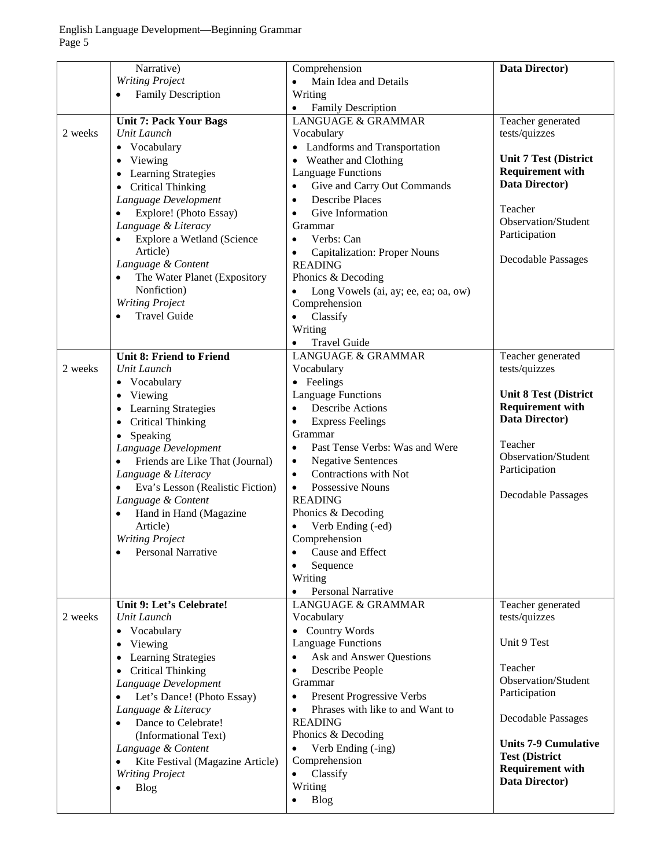|         | Narrative)                                    | Comprehension                                                      | Data Director)               |
|---------|-----------------------------------------------|--------------------------------------------------------------------|------------------------------|
|         | <b>Writing Project</b>                        | Main Idea and Details<br>$\bullet$                                 |                              |
|         | <b>Family Description</b><br>$\bullet$        | Writing                                                            |                              |
|         |                                               | <b>Family Description</b><br>$\bullet$                             |                              |
|         | <b>Unit 7: Pack Your Bags</b>                 | <b>LANGUAGE &amp; GRAMMAR</b>                                      | Teacher generated            |
| 2 weeks | Unit Launch                                   | Vocabulary                                                         | tests/quizzes                |
|         | Vocabulary<br>$\bullet$                       | • Landforms and Transportation                                     |                              |
|         | Viewing<br>$\bullet$                          | • Weather and Clothing                                             | <b>Unit 7 Test (District</b> |
|         | Learning Strategies<br>$\bullet$              | <b>Language Functions</b>                                          | <b>Requirement with</b>      |
|         | <b>Critical Thinking</b><br>$\bullet$         | Give and Carry Out Commands<br>$\bullet$                           | Data Director)               |
|         | Language Development                          | <b>Describe Places</b><br>$\bullet$                                |                              |
|         | Explore! (Photo Essay)<br>$\bullet$           | Give Information<br>$\bullet$                                      | Teacher                      |
|         | Language & Literacy                           | Grammar                                                            | Observation/Student          |
|         | Explore a Wetland (Science<br>$\bullet$       | Verbs: Can<br>$\bullet$                                            | Participation                |
|         | Article)                                      |                                                                    |                              |
|         |                                               | <b>Capitalization: Proper Nouns</b><br>$\bullet$<br><b>READING</b> | <b>Decodable Passages</b>    |
|         | Language & Content                            |                                                                    |                              |
|         | The Water Planet (Expository<br>$\bullet$     | Phonics & Decoding                                                 |                              |
|         | Nonfiction)                                   | Long Vowels (ai, ay; ee, ea; oa, ow)<br>$\bullet$                  |                              |
|         | <b>Writing Project</b>                        | Comprehension                                                      |                              |
|         | <b>Travel Guide</b><br>$\bullet$              | Classify<br>$\bullet$                                              |                              |
|         |                                               | Writing                                                            |                              |
|         |                                               | <b>Travel Guide</b><br>$\bullet$                                   |                              |
|         | <b>Unit 8: Friend to Friend</b>               | <b>LANGUAGE &amp; GRAMMAR</b>                                      | Teacher generated            |
| 2 weeks | Unit Launch                                   | Vocabulary                                                         | tests/quizzes                |
|         | Vocabulary<br>$\bullet$                       | • Feelings                                                         |                              |
|         | Viewing<br>$\bullet$                          | <b>Language Functions</b>                                          | <b>Unit 8 Test (District</b> |
|         | Learning Strategies<br>$\bullet$              | <b>Describe Actions</b><br>$\bullet$                               | <b>Requirement with</b>      |
|         | <b>Critical Thinking</b><br>$\bullet$         | <b>Express Feelings</b><br>$\bullet$                               | Data Director)               |
|         | Speaking<br>$\bullet$                         | Grammar                                                            |                              |
|         | Language Development                          | Past Tense Verbs: Was and Were<br>$\bullet$                        | Teacher                      |
|         | Friends are Like That (Journal)<br>$\bullet$  | <b>Negative Sentences</b><br>$\bullet$                             | Observation/Student          |
|         | Language & Literacy                           | Contractions with Not<br>$\bullet$                                 | Participation                |
|         | Eva's Lesson (Realistic Fiction)<br>$\bullet$ | Possessive Nouns<br>$\bullet$                                      |                              |
|         | Language & Content                            | <b>READING</b>                                                     | <b>Decodable Passages</b>    |
|         | Hand in Hand (Magazine<br>$\bullet$           | Phonics & Decoding                                                 |                              |
|         | Article)                                      | Verb Ending (-ed)                                                  |                              |
|         | <b>Writing Project</b>                        | Comprehension                                                      |                              |
|         | <b>Personal Narrative</b><br>$\bullet$        | Cause and Effect<br>$\bullet$                                      |                              |
|         |                                               | $\bullet$                                                          |                              |
|         |                                               | Sequence<br>Writing                                                |                              |
|         |                                               | <b>Personal Narrative</b>                                          |                              |
|         | Unit 9: Let's Celebrate!                      | $\bullet$<br><b>LANGUAGE &amp; GRAMMAR</b>                         |                              |
| 2 weeks | Unit Launch                                   |                                                                    | Teacher generated            |
|         |                                               | Vocabulary                                                         | tests/quizzes                |
|         | Vocabulary<br>$\bullet$                       | • Country Words                                                    | Unit 9 Test                  |
|         | Viewing<br>$\bullet$                          | <b>Language Functions</b>                                          |                              |
|         | Learning Strategies<br>$\bullet$              | Ask and Answer Questions<br>$\bullet$                              | Teacher                      |
|         | <b>Critical Thinking</b><br>$\bullet$         | Describe People<br>$\bullet$                                       | Observation/Student          |
|         | Language Development                          | Grammar                                                            |                              |
|         | Let's Dance! (Photo Essay)<br>$\bullet$       | <b>Present Progressive Verbs</b><br>٠                              | Participation                |
|         | Language & Literacy                           | Phrases with like to and Want to<br>$\bullet$                      |                              |
|         | Dance to Celebrate!<br>$\bullet$              | <b>READING</b>                                                     | <b>Decodable Passages</b>    |
|         | (Informational Text)                          | Phonics & Decoding                                                 |                              |
|         | Language & Content                            | Verb Ending (-ing)                                                 | <b>Units 7-9 Cumulative</b>  |
|         | Kite Festival (Magazine Article)<br>$\bullet$ | Comprehension                                                      | <b>Test (District</b>        |
|         | <b>Writing Project</b>                        | Classify                                                           | <b>Requirement with</b>      |
|         | <b>Blog</b><br>$\bullet$                      | Writing                                                            | Data Director)               |
|         |                                               | <b>Blog</b>                                                        |                              |
|         |                                               |                                                                    |                              |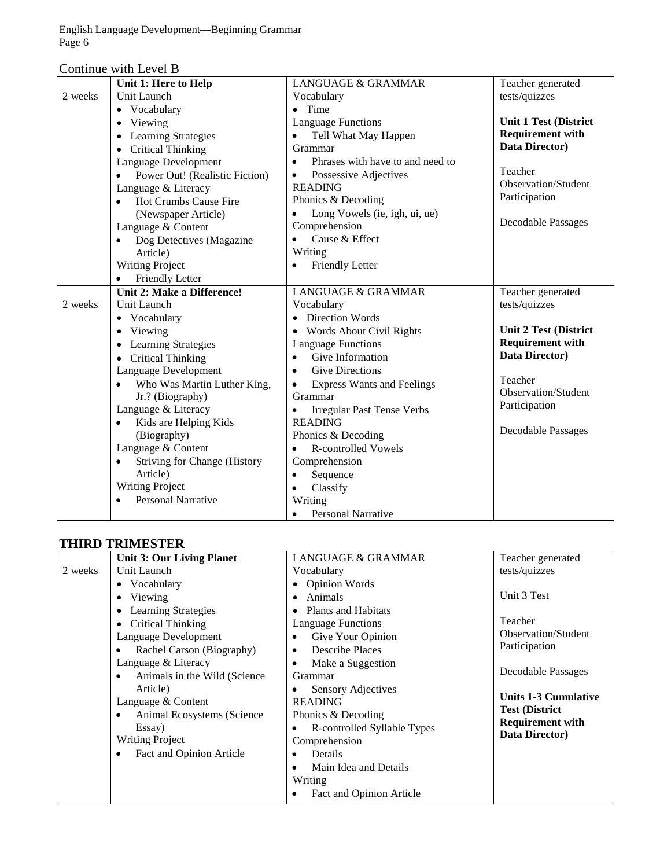English Language Development—Beginning Grammar Page 6

|  | Continue with Level B |
|--|-----------------------|
|--|-----------------------|

|         | Unit 1: Here to Help                             | <b>LANGUAGE &amp; GRAMMAR</b>                  | Teacher generated            |
|---------|--------------------------------------------------|------------------------------------------------|------------------------------|
| 2 weeks | Unit Launch                                      | Vocabulary                                     | tests/quizzes                |
|         | Vocabulary<br>$\bullet$                          | $\bullet$ Time                                 |                              |
|         | Viewing<br>$\bullet$                             | <b>Language Functions</b>                      | <b>Unit 1 Test (District</b> |
|         | <b>Learning Strategies</b>                       | Tell What May Happen<br>$\bullet$              | <b>Requirement with</b>      |
|         | <b>Critical Thinking</b><br>$\bullet$            | Grammar                                        | Data Director)               |
|         | Language Development                             | Phrases with have to and need to<br>$\bullet$  |                              |
|         | Power Out! (Realistic Fiction)                   | Possessive Adjectives<br>$\bullet$             | Teacher                      |
|         | Language & Literacy                              | <b>READING</b>                                 | <b>Observation/Student</b>   |
|         | Hot Crumbs Cause Fire<br>$\bullet$               | Phonics & Decoding                             | Participation                |
|         | (Newspaper Article)                              | Long Vowels (ie, igh, ui, ue)<br>$\bullet$     |                              |
|         | Language & Content                               | Comprehension                                  | <b>Decodable Passages</b>    |
|         | Dog Detectives (Magazine<br>$\bullet$            | Cause & Effect<br>$\bullet$                    |                              |
|         | Article)                                         | Writing                                        |                              |
|         | <b>Writing Project</b>                           | Friendly Letter<br>$\bullet$                   |                              |
|         | Friendly Letter                                  |                                                |                              |
|         | <b>Unit 2: Make a Difference!</b>                | <b>LANGUAGE &amp; GRAMMAR</b>                  | Teacher generated            |
| 2 weeks | Unit Launch                                      | Vocabulary                                     | tests/quizzes                |
|         | • Vocabulary                                     | • Direction Words                              |                              |
|         | Viewing                                          | • Words About Civil Rights                     | <b>Unit 2 Test (District</b> |
|         | Learning Strategies                              | <b>Language Functions</b>                      | <b>Requirement with</b>      |
|         | <b>Critical Thinking</b><br>$\bullet$            | Give Information<br>$\bullet$                  | Data Director)               |
|         | Language Development                             | <b>Give Directions</b><br>$\bullet$            |                              |
|         | Who Was Martin Luther King,                      | <b>Express Wants and Feelings</b><br>$\bullet$ | Teacher                      |
|         | Jr.? (Biography)                                 | Grammar                                        | Observation/Student          |
|         | Language & Literacy                              | <b>Irregular Past Tense Verbs</b><br>$\bullet$ | Participation                |
|         | Kids are Helping Kids<br>$\bullet$               | <b>READING</b>                                 |                              |
|         | (Biography)                                      | Phonics & Decoding                             | <b>Decodable Passages</b>    |
|         | Language & Content                               | <b>R-controlled Vowels</b><br>$\bullet$        |                              |
|         | <b>Striving for Change (History</b><br>$\bullet$ | Comprehension                                  |                              |
|         | Article)                                         | Sequence<br>$\bullet$                          |                              |
|         | <b>Writing Project</b>                           | Classify<br>$\bullet$                          |                              |
|         | <b>Personal Narrative</b>                        | Writing                                        |                              |
|         |                                                  | <b>Personal Narrative</b><br>$\bullet$         |                              |

#### **THIRD TRIMESTER**

|         | <b>Unit 3: Our Living Planet</b>   | <b>LANGUAGE &amp; GRAMMAR</b>      | Teacher generated           |
|---------|------------------------------------|------------------------------------|-----------------------------|
| 2 weeks | Unit Launch                        | Vocabulary                         | tests/quizzes               |
|         | • Vocabulary                       | <b>Opinion Words</b><br>$\bullet$  |                             |
|         | Viewing                            | Animals<br>٠                       | Unit 3 Test                 |
|         | <b>Learning Strategies</b>         | <b>Plants and Habitats</b><br>٠    |                             |
|         | Critical Thinking                  | <b>Language Functions</b>          | Teacher                     |
|         | Language Development               | Give Your Opinion<br>$\bullet$     | <b>Observation/Student</b>  |
|         | Rachel Carson (Biography)<br>٠     | Describe Places<br>$\bullet$       | Participation               |
|         | Language & Literacy                | Make a Suggestion<br>٠             |                             |
|         | Animals in the Wild (Science)<br>٠ | Grammar                            | <b>Decodable Passages</b>   |
|         | Article)                           | <b>Sensory Adjectives</b>          | <b>Units 1-3 Cumulative</b> |
|         | Language & Content                 | <b>READING</b>                     | <b>Test (District</b>       |
|         | Animal Ecosystems (Science)<br>٠   | Phonics & Decoding                 | <b>Requirement with</b>     |
|         | Essay)                             | R-controlled Syllable Types<br>٠   | Data Director)              |
|         | <b>Writing Project</b>             | Comprehension                      |                             |
|         | Fact and Opinion Article<br>٠      | Details                            |                             |
|         |                                    | Main Idea and Details<br>$\bullet$ |                             |
|         |                                    | Writing                            |                             |
|         |                                    | Fact and Opinion Article           |                             |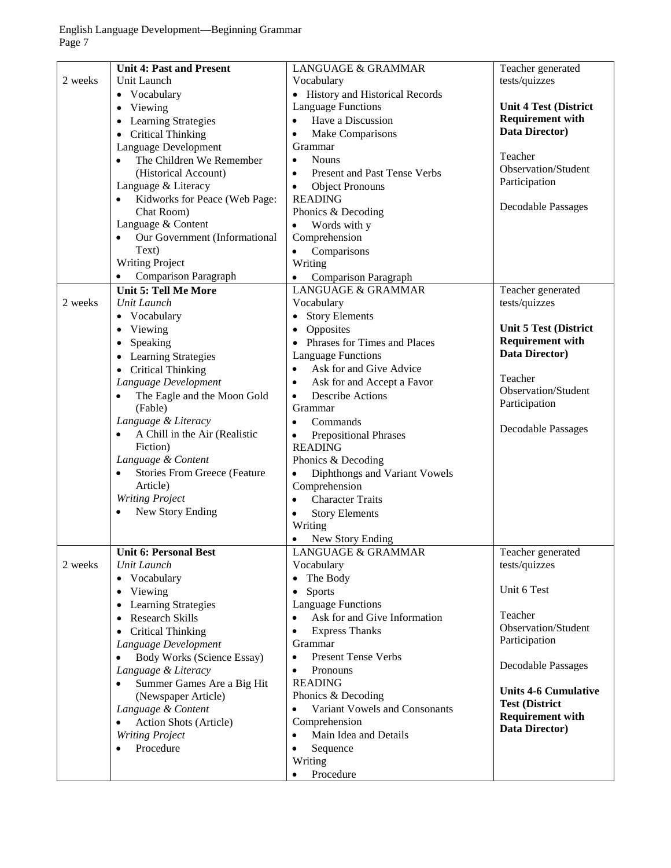|         | <b>Unit 4: Past and Present</b>                  | <b>LANGUAGE &amp; GRAMMAR</b>              | Teacher generated            |
|---------|--------------------------------------------------|--------------------------------------------|------------------------------|
| 2 weeks | Unit Launch                                      | Vocabulary                                 | tests/quizzes                |
|         | • Vocabulary                                     | • History and Historical Records           |                              |
|         | Viewing<br>$\bullet$                             | <b>Language Functions</b>                  | <b>Unit 4 Test (District</b> |
|         | Learning Strategies<br>$\bullet$                 | Have a Discussion<br>$\bullet$             | <b>Requirement with</b>      |
|         | <b>Critical Thinking</b><br>$\bullet$            | Make Comparisons<br>$\bullet$              | Data Director)               |
|         | Language Development                             | Grammar                                    |                              |
|         | The Children We Remember<br>$\bullet$            | <b>Nouns</b><br>$\bullet$                  | Teacher                      |
|         | (Historical Account)                             | Present and Past Tense Verbs<br>$\bullet$  | Observation/Student          |
|         | Language & Literacy                              | <b>Object Pronouns</b><br>$\bullet$        | Participation                |
|         | Kidworks for Peace (Web Page:<br>$\bullet$       | <b>READING</b>                             |                              |
|         | Chat Room)                                       | Phonics & Decoding                         | <b>Decodable Passages</b>    |
|         | Language & Content                               | Words with y<br>$\bullet$                  |                              |
|         | Our Government (Informational<br>$\bullet$       | Comprehension                              |                              |
|         | Text)                                            | Comparisons<br>$\bullet$                   |                              |
|         | <b>Writing Project</b>                           |                                            |                              |
|         |                                                  | Writing                                    |                              |
|         | <b>Comparison Paragraph</b><br>$\bullet$         | Comparison Paragraph<br>$\bullet$          |                              |
|         | <b>Unit 5: Tell Me More</b>                      | <b>LANGUAGE &amp; GRAMMAR</b>              | Teacher generated            |
| 2 weeks | Unit Launch                                      | Vocabulary                                 | tests/quizzes                |
|         | Vocabulary<br>$\bullet$                          | <b>Story Elements</b><br>$\bullet$         |                              |
|         | Viewing<br>$\bullet$                             | Opposites<br>$\bullet$                     | <b>Unit 5 Test (District</b> |
|         | Speaking<br>$\bullet$                            | • Phrases for Times and Places             | <b>Requirement with</b>      |
|         | <b>Learning Strategies</b><br>$\bullet$          | <b>Language Functions</b>                  | Data Director)               |
|         | <b>Critical Thinking</b><br>$\bullet$            | Ask for and Give Advice<br>$\bullet$       |                              |
|         | Language Development                             | Ask for and Accept a Favor<br>$\bullet$    | Teacher                      |
|         | The Eagle and the Moon Gold<br>$\bullet$         | <b>Describe Actions</b><br>$\bullet$       | Observation/Student          |
|         | (Fable)                                          | Grammar                                    | Participation                |
|         | Language & Literacy                              | Commands<br>$\bullet$                      |                              |
|         | A Chill in the Air (Realistic<br>$\bullet$       | <b>Prepositional Phrases</b><br>$\bullet$  | <b>Decodable Passages</b>    |
|         | Fiction)                                         | <b>READING</b>                             |                              |
|         | Language & Content                               | Phonics & Decoding                         |                              |
|         | <b>Stories From Greece (Feature</b><br>$\bullet$ | Diphthongs and Variant Vowels<br>$\bullet$ |                              |
|         | Article)                                         | Comprehension                              |                              |
|         | <b>Writing Project</b>                           | <b>Character Traits</b><br>$\bullet$       |                              |
|         | New Story Ending<br>$\bullet$                    | <b>Story Elements</b><br>$\bullet$         |                              |
|         |                                                  | Writing                                    |                              |
|         |                                                  | New Story Ending<br>$\bullet$              |                              |
|         | <b>Unit 6: Personal Best</b>                     | <b>LANGUAGE &amp; GRAMMAR</b>              | Teacher generated            |
| 2 weeks | Unit Launch                                      | Vocabulary                                 | tests/quizzes                |
|         | Vocabulary<br>$\bullet$                          | The Body<br>$\bullet$                      |                              |
|         | Viewing                                          | Sports                                     | Unit 6 Test                  |
|         | $\bullet$                                        | $\bullet$<br><b>Language Functions</b>     |                              |
|         | Learning Strategies<br>$\bullet$                 | Ask for and Give Information               | Teacher                      |
|         | <b>Research Skills</b><br>$\bullet$              | $\bullet$                                  | Observation/Student          |
|         | <b>Critical Thinking</b><br>$\bullet$            | <b>Express Thanks</b><br>$\bullet$         | Participation                |
|         | Language Development                             | Grammar                                    |                              |
|         | <b>Body Works (Science Essay)</b><br>$\bullet$   | <b>Present Tense Verbs</b><br>$\bullet$    | Decodable Passages           |
|         | Language & Literacy                              | Pronouns<br>$\bullet$                      |                              |
|         | Summer Games Are a Big Hit<br>$\bullet$          | <b>READING</b>                             | <b>Units 4-6 Cumulative</b>  |
|         | (Newspaper Article)                              | Phonics & Decoding                         | <b>Test (District</b>        |
|         | Language & Content                               | Variant Vowels and Consonants<br>$\bullet$ | <b>Requirement with</b>      |
|         | Action Shots (Article)<br>$\bullet$              | Comprehension                              | Data Director)               |
|         | <b>Writing Project</b>                           | Main Idea and Details<br>$\bullet$         |                              |
|         | Procedure<br>$\bullet$                           | Sequence<br>٠                              |                              |
|         |                                                  | Writing                                    |                              |
|         |                                                  | Procedure                                  |                              |